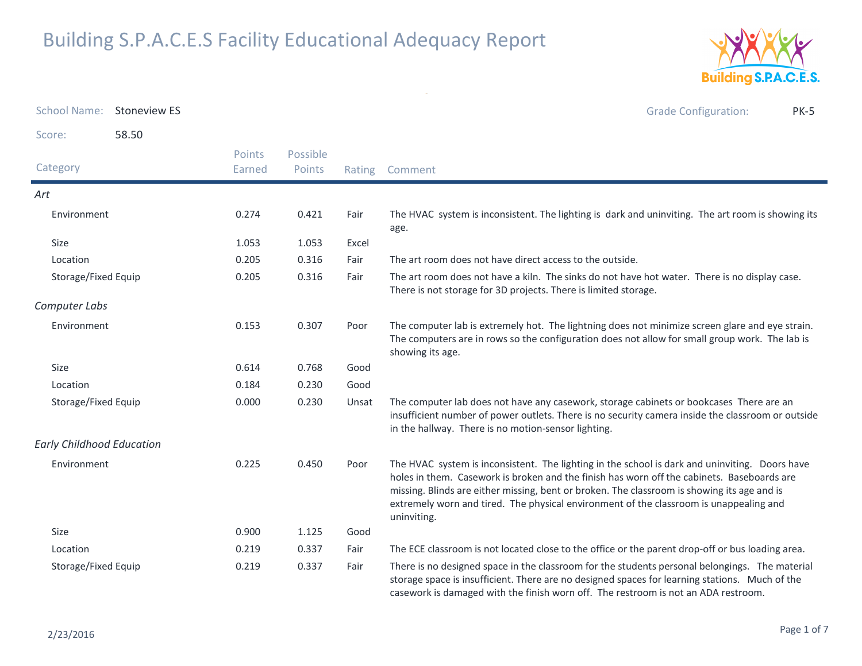

| <b>School Name:</b>              | <b>Stoneview ES</b> |                  |                    |       | <b>Grade Configuration:</b><br><b>PK-5</b>                                                                                                                                                                                                                                                                                                                                                           |
|----------------------------------|---------------------|------------------|--------------------|-------|------------------------------------------------------------------------------------------------------------------------------------------------------------------------------------------------------------------------------------------------------------------------------------------------------------------------------------------------------------------------------------------------------|
| Score:                           | 58.50               |                  |                    |       |                                                                                                                                                                                                                                                                                                                                                                                                      |
| Category                         |                     | Points<br>Earned | Possible<br>Points |       | Rating Comment                                                                                                                                                                                                                                                                                                                                                                                       |
| Art                              |                     |                  |                    |       |                                                                                                                                                                                                                                                                                                                                                                                                      |
| Environment                      |                     | 0.274            | 0.421              | Fair  | The HVAC system is inconsistent. The lighting is dark and uninviting. The art room is showing its<br>age.                                                                                                                                                                                                                                                                                            |
| Size                             |                     | 1.053            | 1.053              | Excel |                                                                                                                                                                                                                                                                                                                                                                                                      |
| Location                         |                     | 0.205            | 0.316              | Fair  | The art room does not have direct access to the outside.                                                                                                                                                                                                                                                                                                                                             |
| Storage/Fixed Equip              |                     | 0.205            | 0.316              | Fair  | The art room does not have a kiln. The sinks do not have hot water. There is no display case.<br>There is not storage for 3D projects. There is limited storage.                                                                                                                                                                                                                                     |
| Computer Labs                    |                     |                  |                    |       |                                                                                                                                                                                                                                                                                                                                                                                                      |
| Environment                      |                     | 0.153            | 0.307              | Poor  | The computer lab is extremely hot. The lightning does not minimize screen glare and eye strain.<br>The computers are in rows so the configuration does not allow for small group work. The lab is<br>showing its age.                                                                                                                                                                                |
| Size                             |                     | 0.614            | 0.768              | Good  |                                                                                                                                                                                                                                                                                                                                                                                                      |
| Location                         |                     | 0.184            | 0.230              | Good  |                                                                                                                                                                                                                                                                                                                                                                                                      |
| Storage/Fixed Equip              |                     | 0.000            | 0.230              | Unsat | The computer lab does not have any casework, storage cabinets or bookcases There are an<br>insufficient number of power outlets. There is no security camera inside the classroom or outside<br>in the hallway. There is no motion-sensor lighting.                                                                                                                                                  |
| <b>Early Childhood Education</b> |                     |                  |                    |       |                                                                                                                                                                                                                                                                                                                                                                                                      |
| Environment                      |                     | 0.225            | 0.450              | Poor  | The HVAC system is inconsistent. The lighting in the school is dark and uninviting. Doors have<br>holes in them. Casework is broken and the finish has worn off the cabinets. Baseboards are<br>missing. Blinds are either missing, bent or broken. The classroom is showing its age and is<br>extremely worn and tired. The physical environment of the classroom is unappealing and<br>uninviting. |
| Size                             |                     | 0.900            | 1.125              | Good  |                                                                                                                                                                                                                                                                                                                                                                                                      |
| Location                         |                     | 0.219            | 0.337              | Fair  | The ECE classroom is not located close to the office or the parent drop-off or bus loading area.                                                                                                                                                                                                                                                                                                     |
| Storage/Fixed Equip              |                     | 0.219            | 0.337              | Fair  | There is no designed space in the classroom for the students personal belongings. The material<br>storage space is insufficient. There are no designed spaces for learning stations. Much of the<br>casework is damaged with the finish worn off. The restroom is not an ADA restroom.                                                                                                               |

 $\omega$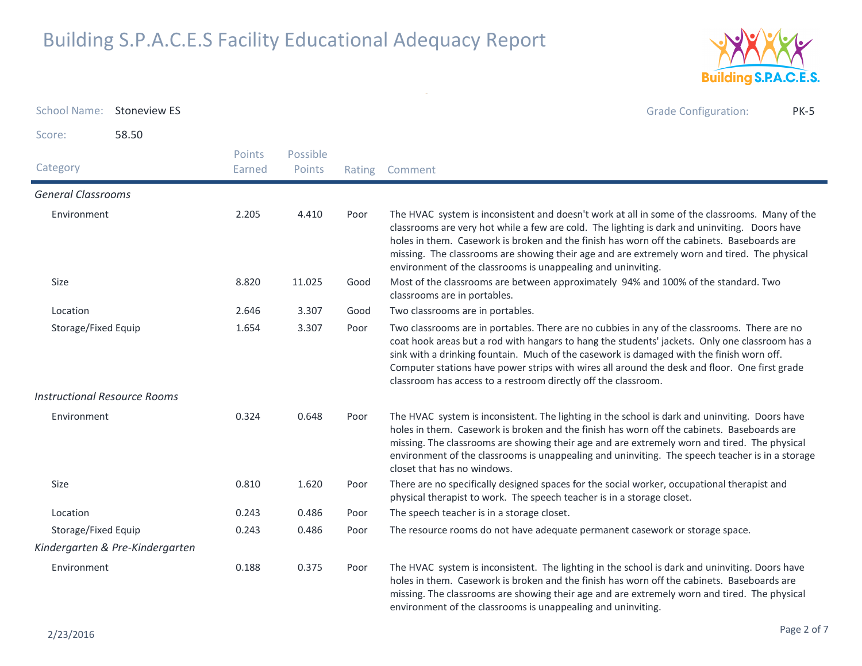

| School Name: Stoneview ES           |                                 |                         |                    |        | <b>Grade Configuration:</b><br><b>PK-5</b>                                                                                                                                                                                                                                                                                                                                                                                                                    |
|-------------------------------------|---------------------------------|-------------------------|--------------------|--------|---------------------------------------------------------------------------------------------------------------------------------------------------------------------------------------------------------------------------------------------------------------------------------------------------------------------------------------------------------------------------------------------------------------------------------------------------------------|
| Score:                              | 58.50                           |                         |                    |        |                                                                                                                                                                                                                                                                                                                                                                                                                                                               |
| Category                            |                                 | <b>Points</b><br>Earned | Possible<br>Points | Rating | Comment                                                                                                                                                                                                                                                                                                                                                                                                                                                       |
| <b>General Classrooms</b>           |                                 |                         |                    |        |                                                                                                                                                                                                                                                                                                                                                                                                                                                               |
| Environment                         |                                 | 2.205                   | 4.410              | Poor   | The HVAC system is inconsistent and doesn't work at all in some of the classrooms. Many of the<br>classrooms are very hot while a few are cold. The lighting is dark and uninviting. Doors have<br>holes in them. Casework is broken and the finish has worn off the cabinets. Baseboards are<br>missing. The classrooms are showing their age and are extremely worn and tired. The physical<br>environment of the classrooms is unappealing and uninviting. |
| <b>Size</b>                         |                                 | 8.820                   | 11.025             | Good   | Most of the classrooms are between approximately 94% and 100% of the standard. Two<br>classrooms are in portables.                                                                                                                                                                                                                                                                                                                                            |
| Location                            |                                 | 2.646                   | 3.307              | Good   | Two classrooms are in portables.                                                                                                                                                                                                                                                                                                                                                                                                                              |
| Storage/Fixed Equip                 |                                 | 1.654                   | 3.307              | Poor   | Two classrooms are in portables. There are no cubbies in any of the classrooms. There are no<br>coat hook areas but a rod with hangars to hang the students' jackets. Only one classroom has a<br>sink with a drinking fountain. Much of the casework is damaged with the finish worn off.<br>Computer stations have power strips with wires all around the desk and floor. One first grade<br>classroom has access to a restroom directly off the classroom. |
| <b>Instructional Resource Rooms</b> |                                 |                         |                    |        |                                                                                                                                                                                                                                                                                                                                                                                                                                                               |
| Environment                         |                                 | 0.324                   | 0.648              | Poor   | The HVAC system is inconsistent. The lighting in the school is dark and uninviting. Doors have<br>holes in them. Casework is broken and the finish has worn off the cabinets. Baseboards are<br>missing. The classrooms are showing their age and are extremely worn and tired. The physical<br>environment of the classrooms is unappealing and uninviting. The speech teacher is in a storage<br>closet that has no windows.                                |
| Size                                |                                 | 0.810                   | 1.620              | Poor   | There are no specifically designed spaces for the social worker, occupational therapist and<br>physical therapist to work. The speech teacher is in a storage closet.                                                                                                                                                                                                                                                                                         |
| Location                            |                                 | 0.243                   | 0.486              | Poor   | The speech teacher is in a storage closet.                                                                                                                                                                                                                                                                                                                                                                                                                    |
| Storage/Fixed Equip                 |                                 | 0.243                   | 0.486              | Poor   | The resource rooms do not have adequate permanent casework or storage space.                                                                                                                                                                                                                                                                                                                                                                                  |
|                                     | Kindergarten & Pre-Kindergarten |                         |                    |        |                                                                                                                                                                                                                                                                                                                                                                                                                                                               |
| Environment                         |                                 | 0.188                   | 0.375              | Poor   | The HVAC system is inconsistent. The lighting in the school is dark and uninviting. Doors have<br>holes in them. Casework is broken and the finish has worn off the cabinets. Baseboards are<br>missing. The classrooms are showing their age and are extremely worn and tired. The physical<br>environment of the classrooms is unappealing and uninviting.                                                                                                  |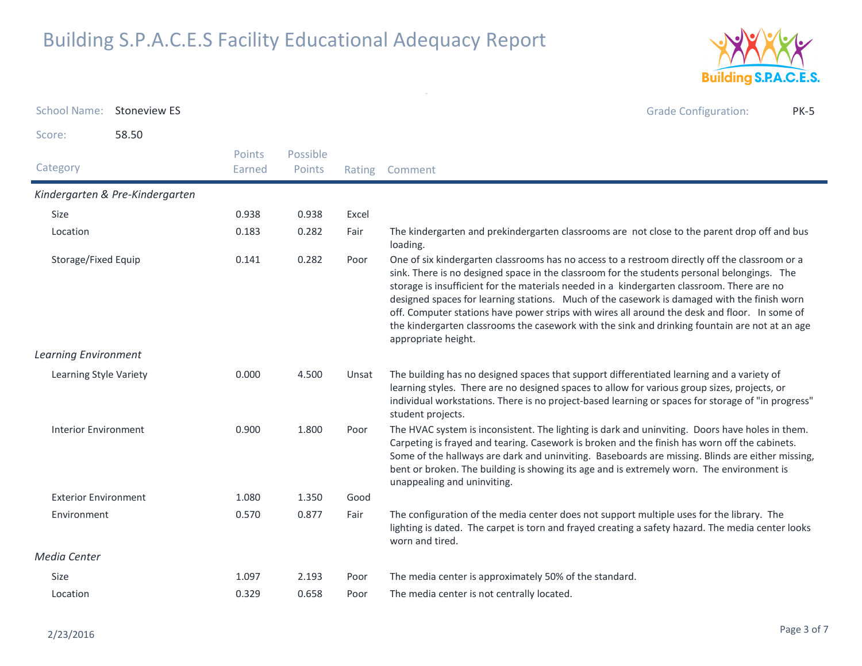

| School Name: Stoneview ES   |                                 |                         |                    |        | <b>Grade Configuration:</b><br><b>PK-5</b>                                                                                                                                                                                                                                                                                                                                                                                                                                                                                                                                                                           |
|-----------------------------|---------------------------------|-------------------------|--------------------|--------|----------------------------------------------------------------------------------------------------------------------------------------------------------------------------------------------------------------------------------------------------------------------------------------------------------------------------------------------------------------------------------------------------------------------------------------------------------------------------------------------------------------------------------------------------------------------------------------------------------------------|
| Score:                      | 58.50                           |                         |                    |        |                                                                                                                                                                                                                                                                                                                                                                                                                                                                                                                                                                                                                      |
| Category                    |                                 | <b>Points</b><br>Earned | Possible<br>Points | Rating | Comment                                                                                                                                                                                                                                                                                                                                                                                                                                                                                                                                                                                                              |
|                             | Kindergarten & Pre-Kindergarten |                         |                    |        |                                                                                                                                                                                                                                                                                                                                                                                                                                                                                                                                                                                                                      |
| Size                        |                                 | 0.938                   | 0.938              | Excel  |                                                                                                                                                                                                                                                                                                                                                                                                                                                                                                                                                                                                                      |
| Location                    |                                 | 0.183                   | 0.282              | Fair   | The kindergarten and prekindergarten classrooms are not close to the parent drop off and bus<br>loading.                                                                                                                                                                                                                                                                                                                                                                                                                                                                                                             |
| Storage/Fixed Equip         |                                 | 0.141                   | 0.282              | Poor   | One of six kindergarten classrooms has no access to a restroom directly off the classroom or a<br>sink. There is no designed space in the classroom for the students personal belongings. The<br>storage is insufficient for the materials needed in a kindergarten classroom. There are no<br>designed spaces for learning stations. Much of the casework is damaged with the finish worn<br>off. Computer stations have power strips with wires all around the desk and floor. In some of<br>the kindergarten classrooms the casework with the sink and drinking fountain are not at an age<br>appropriate height. |
| <b>Learning Environment</b> |                                 |                         |                    |        |                                                                                                                                                                                                                                                                                                                                                                                                                                                                                                                                                                                                                      |
| Learning Style Variety      |                                 | 0.000                   | 4.500              | Unsat  | The building has no designed spaces that support differentiated learning and a variety of<br>learning styles. There are no designed spaces to allow for various group sizes, projects, or<br>individual workstations. There is no project-based learning or spaces for storage of "in progress"<br>student projects.                                                                                                                                                                                                                                                                                                 |
| <b>Interior Environment</b> |                                 | 0.900                   | 1.800              | Poor   | The HVAC system is inconsistent. The lighting is dark and uninviting. Doors have holes in them.<br>Carpeting is frayed and tearing. Casework is broken and the finish has worn off the cabinets.<br>Some of the hallways are dark and uninviting. Baseboards are missing. Blinds are either missing,<br>bent or broken. The building is showing its age and is extremely worn. The environment is<br>unappealing and uninviting.                                                                                                                                                                                     |
| <b>Exterior Environment</b> |                                 | 1.080                   | 1.350              | Good   |                                                                                                                                                                                                                                                                                                                                                                                                                                                                                                                                                                                                                      |
| Environment                 |                                 | 0.570                   | 0.877              | Fair   | The configuration of the media center does not support multiple uses for the library. The<br>lighting is dated. The carpet is torn and frayed creating a safety hazard. The media center looks<br>worn and tired.                                                                                                                                                                                                                                                                                                                                                                                                    |
| Media Center                |                                 |                         |                    |        |                                                                                                                                                                                                                                                                                                                                                                                                                                                                                                                                                                                                                      |
| <b>Size</b>                 |                                 | 1.097                   | 2.193              | Poor   | The media center is approximately 50% of the standard.                                                                                                                                                                                                                                                                                                                                                                                                                                                                                                                                                               |
| Location                    |                                 | 0.329                   | 0.658              | Poor   | The media center is not centrally located.                                                                                                                                                                                                                                                                                                                                                                                                                                                                                                                                                                           |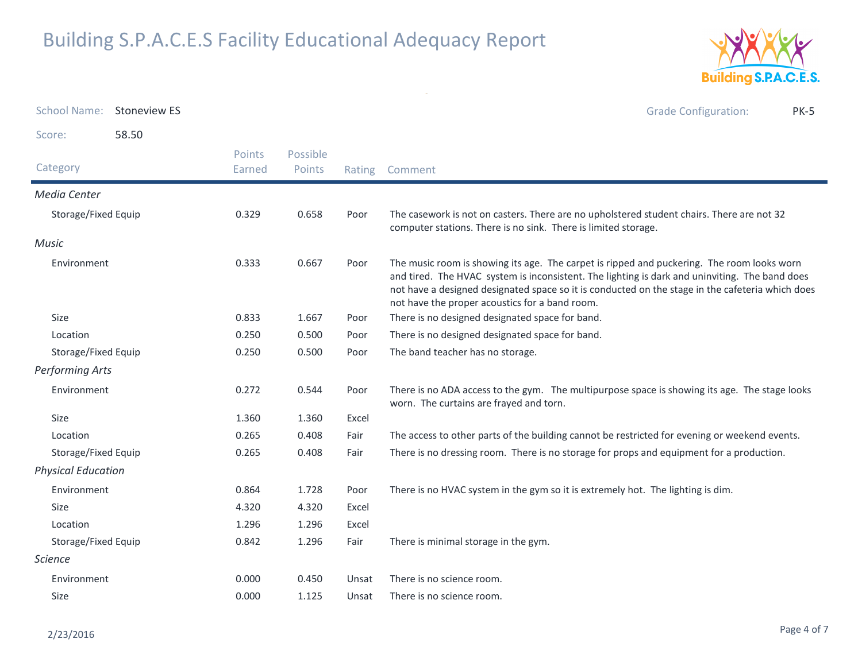

| <b>School Name:</b>       | <b>Stoneview ES</b> |                  |                    |        | <b>Grade Configuration:</b><br><b>PK-5</b>                                                                                                                                                                                                                                                                                                         |
|---------------------------|---------------------|------------------|--------------------|--------|----------------------------------------------------------------------------------------------------------------------------------------------------------------------------------------------------------------------------------------------------------------------------------------------------------------------------------------------------|
| Score:                    | 58.50               |                  |                    |        |                                                                                                                                                                                                                                                                                                                                                    |
| Category                  |                     | Points<br>Earned | Possible<br>Points | Rating | Comment                                                                                                                                                                                                                                                                                                                                            |
| Media Center              |                     |                  |                    |        |                                                                                                                                                                                                                                                                                                                                                    |
| Storage/Fixed Equip       |                     | 0.329            | 0.658              | Poor   | The casework is not on casters. There are no upholstered student chairs. There are not 32<br>computer stations. There is no sink. There is limited storage.                                                                                                                                                                                        |
| Music                     |                     |                  |                    |        |                                                                                                                                                                                                                                                                                                                                                    |
| Environment               |                     | 0.333            | 0.667              | Poor   | The music room is showing its age. The carpet is ripped and puckering. The room looks worn<br>and tired. The HVAC system is inconsistent. The lighting is dark and uninviting. The band does<br>not have a designed designated space so it is conducted on the stage in the cafeteria which does<br>not have the proper acoustics for a band room. |
| Size                      |                     | 0.833            | 1.667              | Poor   | There is no designed designated space for band.                                                                                                                                                                                                                                                                                                    |
| Location                  |                     | 0.250            | 0.500              | Poor   | There is no designed designated space for band.                                                                                                                                                                                                                                                                                                    |
| Storage/Fixed Equip       |                     | 0.250            | 0.500              | Poor   | The band teacher has no storage.                                                                                                                                                                                                                                                                                                                   |
| Performing Arts           |                     |                  |                    |        |                                                                                                                                                                                                                                                                                                                                                    |
| Environment               |                     | 0.272            | 0.544              | Poor   | There is no ADA access to the gym. The multipurpose space is showing its age. The stage looks<br>worn. The curtains are frayed and torn.                                                                                                                                                                                                           |
| Size                      |                     | 1.360            | 1.360              | Excel  |                                                                                                                                                                                                                                                                                                                                                    |
| Location                  |                     | 0.265            | 0.408              | Fair   | The access to other parts of the building cannot be restricted for evening or weekend events.                                                                                                                                                                                                                                                      |
| Storage/Fixed Equip       |                     | 0.265            | 0.408              | Fair   | There is no dressing room. There is no storage for props and equipment for a production.                                                                                                                                                                                                                                                           |
| <b>Physical Education</b> |                     |                  |                    |        |                                                                                                                                                                                                                                                                                                                                                    |
| Environment               |                     | 0.864            | 1.728              | Poor   | There is no HVAC system in the gym so it is extremely hot. The lighting is dim.                                                                                                                                                                                                                                                                    |
| Size                      |                     | 4.320            | 4.320              | Excel  |                                                                                                                                                                                                                                                                                                                                                    |
| Location                  |                     | 1.296            | 1.296              | Excel  |                                                                                                                                                                                                                                                                                                                                                    |
| Storage/Fixed Equip       |                     | 0.842            | 1.296              | Fair   | There is minimal storage in the gym.                                                                                                                                                                                                                                                                                                               |
| <b>Science</b>            |                     |                  |                    |        |                                                                                                                                                                                                                                                                                                                                                    |
| Environment               |                     | 0.000            | 0.450              | Unsat  | There is no science room.                                                                                                                                                                                                                                                                                                                          |
| Size                      |                     | 0.000            | 1.125              | Unsat  | There is no science room.                                                                                                                                                                                                                                                                                                                          |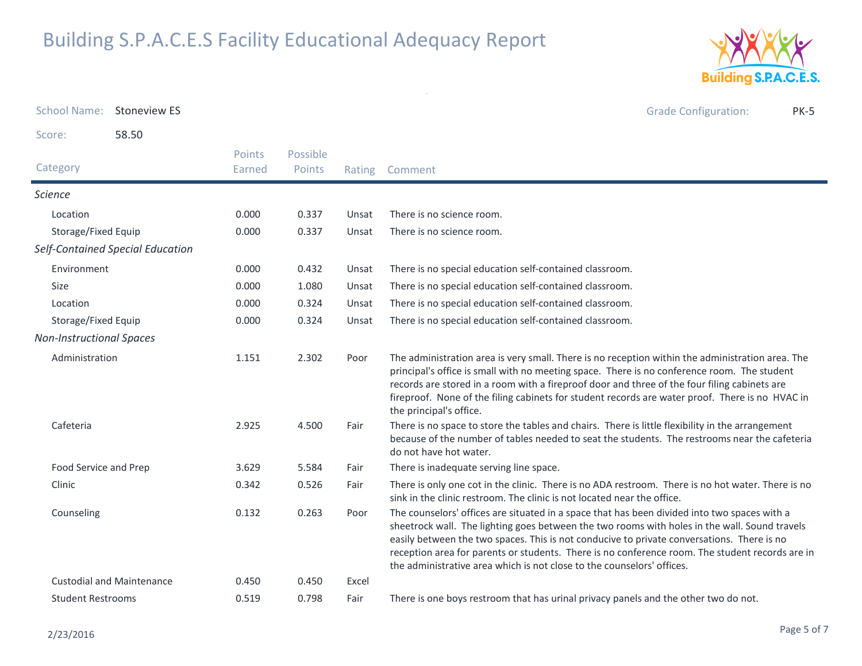

| <b>School Name:</b>             | <b>Stoneview ES</b>              |                  |                    |        |                                                                                                                                                                                                                                                                                                                                                                                                                                                                          | <b>Grade Configuration:</b> | <b>PK-5</b> |
|---------------------------------|----------------------------------|------------------|--------------------|--------|--------------------------------------------------------------------------------------------------------------------------------------------------------------------------------------------------------------------------------------------------------------------------------------------------------------------------------------------------------------------------------------------------------------------------------------------------------------------------|-----------------------------|-------------|
| Score:                          | 58.50                            |                  |                    |        |                                                                                                                                                                                                                                                                                                                                                                                                                                                                          |                             |             |
| Category                        |                                  | Points<br>Earned | Possible<br>Points | Rating | Comment                                                                                                                                                                                                                                                                                                                                                                                                                                                                  |                             |             |
| <b>Science</b>                  |                                  |                  |                    |        |                                                                                                                                                                                                                                                                                                                                                                                                                                                                          |                             |             |
| Location                        |                                  | 0.000            | 0.337              | Unsat  | There is no science room.                                                                                                                                                                                                                                                                                                                                                                                                                                                |                             |             |
| Storage/Fixed Equip             |                                  | 0.000            | 0.337              | Unsat  | There is no science room.                                                                                                                                                                                                                                                                                                                                                                                                                                                |                             |             |
|                                 | Self-Contained Special Education |                  |                    |        |                                                                                                                                                                                                                                                                                                                                                                                                                                                                          |                             |             |
| Environment                     |                                  | 0.000            | 0.432              | Unsat  | There is no special education self-contained classroom.                                                                                                                                                                                                                                                                                                                                                                                                                  |                             |             |
| <b>Size</b>                     |                                  | 0.000            | 1.080              | Unsat  | There is no special education self-contained classroom.                                                                                                                                                                                                                                                                                                                                                                                                                  |                             |             |
| Location                        |                                  | 0.000            | 0.324              | Unsat  | There is no special education self-contained classroom.                                                                                                                                                                                                                                                                                                                                                                                                                  |                             |             |
| Storage/Fixed Equip             |                                  | 0.000            | 0.324              | Unsat  | There is no special education self-contained classroom.                                                                                                                                                                                                                                                                                                                                                                                                                  |                             |             |
| <b>Non-Instructional Spaces</b> |                                  |                  |                    |        |                                                                                                                                                                                                                                                                                                                                                                                                                                                                          |                             |             |
| Administration                  |                                  | 1.151            | 2.302              | Poor   | The administration area is very small. There is no reception within the administration area. The<br>principal's office is small with no meeting space. There is no conference room. The student<br>records are stored in a room with a fireproof door and three of the four filing cabinets are<br>fireproof. None of the filing cabinets for student records are water proof. There is no HVAC in<br>the principal's office.                                            |                             |             |
| Cafeteria                       |                                  | 2.925            | 4.500              | Fair   | There is no space to store the tables and chairs. There is little flexibility in the arrangement<br>because of the number of tables needed to seat the students. The restrooms near the cafeteria<br>do not have hot water.                                                                                                                                                                                                                                              |                             |             |
| Food Service and Prep           |                                  | 3.629            | 5.584              | Fair   | There is inadequate serving line space.                                                                                                                                                                                                                                                                                                                                                                                                                                  |                             |             |
| Clinic                          |                                  | 0.342            | 0.526              | Fair   | There is only one cot in the clinic. There is no ADA restroom. There is no hot water. There is no<br>sink in the clinic restroom. The clinic is not located near the office.                                                                                                                                                                                                                                                                                             |                             |             |
| Counseling                      |                                  | 0.132            | 0.263              | Poor   | The counselors' offices are situated in a space that has been divided into two spaces with a<br>sheetrock wall. The lighting goes between the two rooms with holes in the wall. Sound travels<br>easily between the two spaces. This is not conducive to private conversations. There is no<br>reception area for parents or students. There is no conference room. The student records are in<br>the administrative area which is not close to the counselors' offices. |                             |             |
|                                 | <b>Custodial and Maintenance</b> | 0.450            | 0.450              | Excel  |                                                                                                                                                                                                                                                                                                                                                                                                                                                                          |                             |             |
| <b>Student Restrooms</b>        |                                  | 0.519            | 0.798              | Fair   | There is one boys restroom that has urinal privacy panels and the other two do not.                                                                                                                                                                                                                                                                                                                                                                                      |                             |             |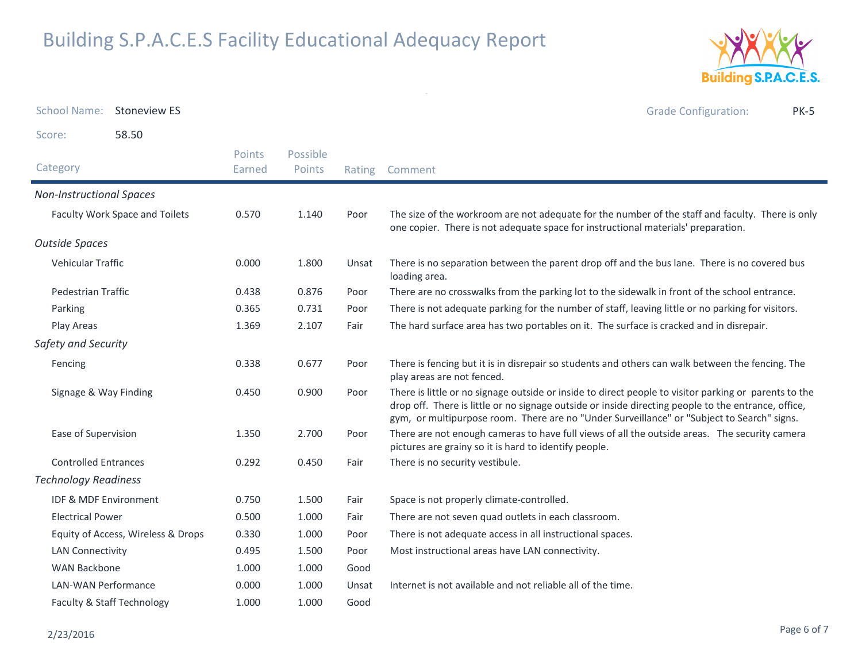

| <b>School Name:</b>             | <b>Stoneview ES</b>                |                         |                    |       | <b>Grade Configuration:</b><br><b>PK-5</b>                                                                                                                                                                                                                                                                 |
|---------------------------------|------------------------------------|-------------------------|--------------------|-------|------------------------------------------------------------------------------------------------------------------------------------------------------------------------------------------------------------------------------------------------------------------------------------------------------------|
| Score:                          | 58.50                              |                         |                    |       |                                                                                                                                                                                                                                                                                                            |
| Category                        |                                    | <b>Points</b><br>Earned | Possible<br>Points |       | Rating Comment                                                                                                                                                                                                                                                                                             |
| <b>Non-Instructional Spaces</b> |                                    |                         |                    |       |                                                                                                                                                                                                                                                                                                            |
|                                 | Faculty Work Space and Toilets     | 0.570                   | 1.140              | Poor  | The size of the workroom are not adequate for the number of the staff and faculty. There is only<br>one copier. There is not adequate space for instructional materials' preparation.                                                                                                                      |
| <b>Outside Spaces</b>           |                                    |                         |                    |       |                                                                                                                                                                                                                                                                                                            |
| Vehicular Traffic               |                                    | 0.000                   | 1.800              | Unsat | There is no separation between the parent drop off and the bus lane. There is no covered bus<br>loading area.                                                                                                                                                                                              |
| Pedestrian Traffic              |                                    | 0.438                   | 0.876              | Poor  | There are no crosswalks from the parking lot to the sidewalk in front of the school entrance.                                                                                                                                                                                                              |
| Parking                         |                                    | 0.365                   | 0.731              | Poor  | There is not adequate parking for the number of staff, leaving little or no parking for visitors.                                                                                                                                                                                                          |
| Play Areas                      |                                    | 1.369                   | 2.107              | Fair  | The hard surface area has two portables on it. The surface is cracked and in disrepair.                                                                                                                                                                                                                    |
| Safety and Security             |                                    |                         |                    |       |                                                                                                                                                                                                                                                                                                            |
| Fencing                         |                                    | 0.338                   | 0.677              | Poor  | There is fencing but it is in disrepair so students and others can walk between the fencing. The<br>play areas are not fenced.                                                                                                                                                                             |
| Signage & Way Finding           |                                    | 0.450                   | 0.900              | Poor  | There is little or no signage outside or inside to direct people to visitor parking or parents to the<br>drop off. There is little or no signage outside or inside directing people to the entrance, office,<br>gym, or multipurpose room. There are no "Under Surveillance" or "Subject to Search" signs. |
| Ease of Supervision             |                                    | 1.350                   | 2.700              | Poor  | There are not enough cameras to have full views of all the outside areas. The security camera<br>pictures are grainy so it is hard to identify people.                                                                                                                                                     |
| <b>Controlled Entrances</b>     |                                    | 0.292                   | 0.450              | Fair  | There is no security vestibule.                                                                                                                                                                                                                                                                            |
| <b>Technology Readiness</b>     |                                    |                         |                    |       |                                                                                                                                                                                                                                                                                                            |
| IDF & MDF Environment           |                                    | 0.750                   | 1.500              | Fair  | Space is not properly climate-controlled.                                                                                                                                                                                                                                                                  |
| <b>Electrical Power</b>         |                                    | 0.500                   | 1.000              | Fair  | There are not seven quad outlets in each classroom.                                                                                                                                                                                                                                                        |
|                                 | Equity of Access, Wireless & Drops | 0.330                   | 1.000              | Poor  | There is not adequate access in all instructional spaces.                                                                                                                                                                                                                                                  |
| <b>LAN Connectivity</b>         |                                    | 0.495                   | 1.500              | Poor  | Most instructional areas have LAN connectivity.                                                                                                                                                                                                                                                            |
| <b>WAN Backbone</b>             |                                    | 1.000                   | 1.000              | Good  |                                                                                                                                                                                                                                                                                                            |
| <b>LAN-WAN Performance</b>      |                                    | 0.000                   | 1.000              | Unsat | Internet is not available and not reliable all of the time.                                                                                                                                                                                                                                                |
| Faculty & Staff Technology      |                                    | 1.000                   | 1.000              | Good  |                                                                                                                                                                                                                                                                                                            |

 $\omega$